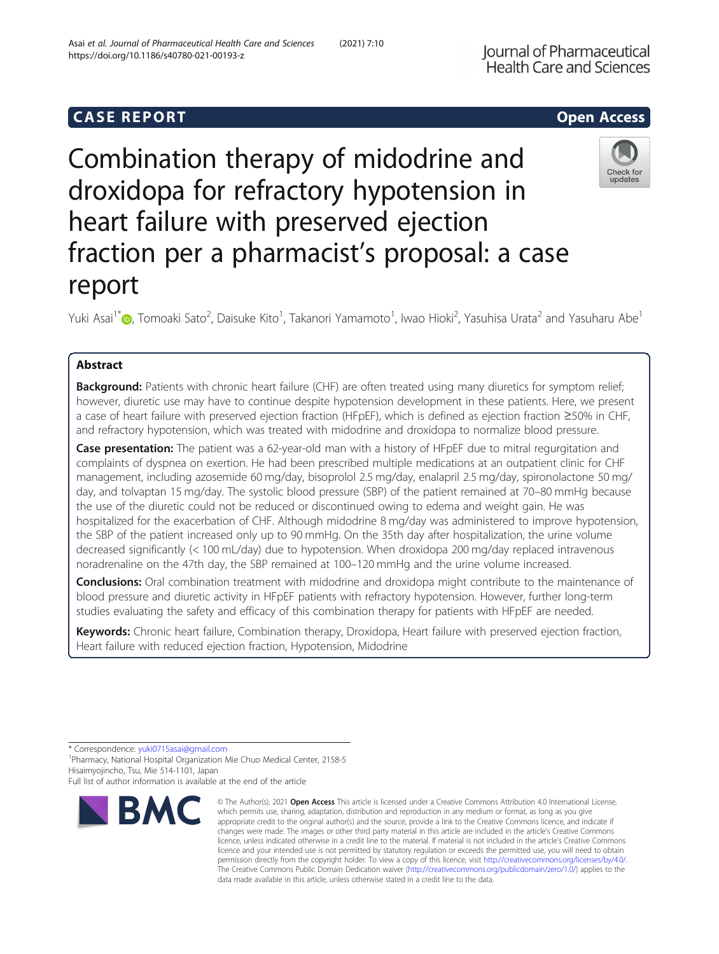# **CASE REPORT And SERVICE SERVICES** Open Access

# Combination therapy of midodrine and droxidopa for refractory hypotension in heart failure with preserved ejection fraction per a pharmacist's proposal: a case report

Yuki Asai<sup>1\*</sup>�, Tomoaki Sato<sup>2</sup>, Daisuke Kito<sup>1</sup>, Takanori Yamamoto<sup>1</sup>, Iwao Hioki<sup>2</sup>, Yasuhisa Urata<sup>2</sup> and Yasuharu Abe<sup>1</sup>

# Abstract

Background: Patients with chronic heart failure (CHF) are often treated using many diuretics for symptom relief; however, diuretic use may have to continue despite hypotension development in these patients. Here, we present a case of heart failure with preserved ejection fraction (HFpEF), which is defined as ejection fraction ≥50% in CHF, and refractory hypotension, which was treated with midodrine and droxidopa to normalize blood pressure.

Case presentation: The patient was a 62-year-old man with a history of HFpEF due to mitral requrgitation and complaints of dyspnea on exertion. He had been prescribed multiple medications at an outpatient clinic for CHF management, including azosemide 60 mg/day, bisoprolol 2.5 mg/day, enalapril 2.5 mg/day, spironolactone 50 mg/ day, and tolvaptan 15 mg/day. The systolic blood pressure (SBP) of the patient remained at 70–80 mmHg because the use of the diuretic could not be reduced or discontinued owing to edema and weight gain. He was hospitalized for the exacerbation of CHF. Although midodrine 8 mg/day was administered to improve hypotension, the SBP of the patient increased only up to 90 mmHg. On the 35th day after hospitalization, the urine volume decreased significantly (< 100 mL/day) due to hypotension. When droxidopa 200 mg/day replaced intravenous noradrenaline on the 47th day, the SBP remained at 100–120 mmHg and the urine volume increased.

**Conclusions:** Oral combination treatment with midodrine and droxidopa might contribute to the maintenance of blood pressure and diuretic activity in HFpEF patients with refractory hypotension. However, further long-term studies evaluating the safety and efficacy of this combination therapy for patients with HFpEF are needed.

Keywords: Chronic heart failure, Combination therapy, Droxidopa, Heart failure with preserved ejection fraction, Heart failure with reduced ejection fraction, Hypotension, Midodrine

\* Correspondence: [yuki0715asai@gmail.com](mailto:yuki0715asai@gmail.com) <sup>1</sup>

**BMC** 

Pharmacy, National Hospital Organization Mie Chuo Medical Center, 2158-5 Hisaimyojincho, Tsu, Mie 514-1101, Japan

# Full list of author information is available at the end of the article

which permits use, sharing, adaptation, distribution and reproduction in any medium or format, as long as you give appropriate credit to the original author(s) and the source, provide a link to the Creative Commons licence, and indicate if changes were made. The images or other third party material in this article are included in the article's Creative Commons licence, unless indicated otherwise in a credit line to the material. If material is not included in the article's Creative Commons licence and your intended use is not permitted by statutory regulation or exceeds the permitted use, you will need to obtain permission directly from the copyright holder. To view a copy of this licence, visit [http://creativecommons.org/licenses/by/4.0/.](http://creativecommons.org/licenses/by/4.0/) The Creative Commons Public Domain Dedication waiver [\(http://creativecommons.org/publicdomain/zero/1.0/](http://creativecommons.org/publicdomain/zero/1.0/)) applies to the data made available in this article, unless otherwise stated in a credit line to the data.

© The Author(s), 2021 **Open Access** This article is licensed under a Creative Commons Attribution 4.0 International License,

Check for



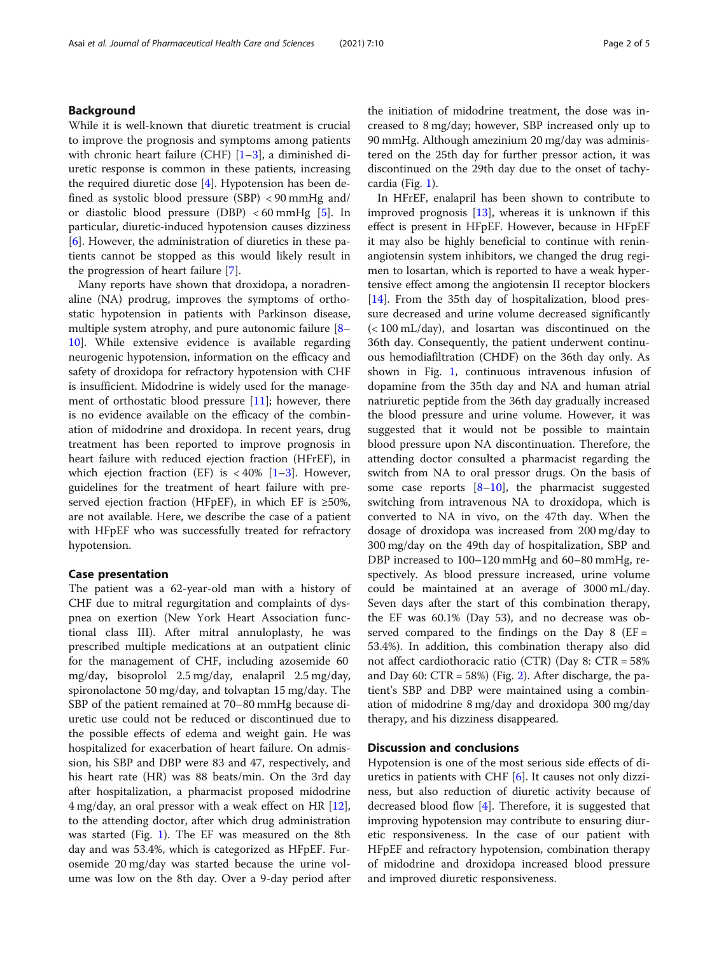While it is well-known that diuretic treatment is crucial to improve the prognosis and symptoms among patients with chronic heart failure (CHF)  $[1-3]$  $[1-3]$  $[1-3]$ , a diminished diuretic response is common in these patients, increasing the required diuretic dose [[4\]](#page-4-0). Hypotension has been defined as systolic blood pressure (SBP) < 90 mmHg and/ or diastolic blood pressure (DBP)  $<60$  mmHg [[5\]](#page-4-0). In particular, diuretic-induced hypotension causes dizziness [[6\]](#page-4-0). However, the administration of diuretics in these patients cannot be stopped as this would likely result in the progression of heart failure [[7\]](#page-4-0).

Many reports have shown that droxidopa, a noradrenaline (NA) prodrug, improves the symptoms of orthostatic hypotension in patients with Parkinson disease, multiple system atrophy, and pure autonomic failure [[8](#page-4-0)– [10\]](#page-4-0). While extensive evidence is available regarding neurogenic hypotension, information on the efficacy and safety of droxidopa for refractory hypotension with CHF is insufficient. Midodrine is widely used for the management of orthostatic blood pressure  $[11]$ ; however, there is no evidence available on the efficacy of the combination of midodrine and droxidopa. In recent years, drug treatment has been reported to improve prognosis in heart failure with reduced ejection fraction (HFrEF), in which ejection fraction (EF) is  $<40\%$  [[1](#page-3-0)–[3](#page-3-0)]. However, guidelines for the treatment of heart failure with preserved ejection fraction (HFpEF), in which EF is  $\geq 50\%$ , are not available. Here, we describe the case of a patient with HFpEF who was successfully treated for refractory hypotension.

# Case presentation

The patient was a 62-year-old man with a history of CHF due to mitral regurgitation and complaints of dyspnea on exertion (New York Heart Association functional class III). After mitral annuloplasty, he was prescribed multiple medications at an outpatient clinic for the management of CHF, including azosemide 60 mg/day, bisoprolol 2.5 mg/day, enalapril 2.5 mg/day, spironolactone 50 mg/day, and tolvaptan 15 mg/day. The SBP of the patient remained at 70–80 mmHg because diuretic use could not be reduced or discontinued due to the possible effects of edema and weight gain. He was hospitalized for exacerbation of heart failure. On admission, his SBP and DBP were 83 and 47, respectively, and his heart rate (HR) was 88 beats/min. On the 3rd day after hospitalization, a pharmacist proposed midodrine 4 mg/day, an oral pressor with a weak effect on HR [\[12](#page-4-0)], to the attending doctor, after which drug administration was started (Fig. [1\)](#page-2-0). The EF was measured on the 8th day and was 53.4%, which is categorized as HFpEF. Furosemide 20 mg/day was started because the urine volume was low on the 8th day. Over a 9-day period after

the initiation of midodrine treatment, the dose was increased to 8 mg/day; however, SBP increased only up to 90 mmHg. Although amezinium 20 mg/day was administered on the 25th day for further pressor action, it was discontinued on the 29th day due to the onset of tachycardia (Fig. [1\)](#page-2-0).

In HFrEF, enalapril has been shown to contribute to improved prognosis [[13](#page-4-0)], whereas it is unknown if this effect is present in HFpEF. However, because in HFpEF it may also be highly beneficial to continue with reninangiotensin system inhibitors, we changed the drug regimen to losartan, which is reported to have a weak hypertensive effect among the angiotensin II receptor blockers [[14\]](#page-4-0). From the 35th day of hospitalization, blood pressure decreased and urine volume decreased significantly (< 100 mL/day), and losartan was discontinued on the 36th day. Consequently, the patient underwent continuous hemodiafiltration (CHDF) on the 36th day only. As shown in Fig. [1](#page-2-0), continuous intravenous infusion of dopamine from the 35th day and NA and human atrial natriuretic peptide from the 36th day gradually increased the blood pressure and urine volume. However, it was suggested that it would not be possible to maintain blood pressure upon NA discontinuation. Therefore, the attending doctor consulted a pharmacist regarding the switch from NA to oral pressor drugs. On the basis of some case reports  $[8-10]$  $[8-10]$  $[8-10]$ , the pharmacist suggested switching from intravenous NA to droxidopa, which is converted to NA in vivo, on the 47th day. When the dosage of droxidopa was increased from 200 mg/day to 300 mg/day on the 49th day of hospitalization, SBP and DBP increased to 100–120 mmHg and 60–80 mmHg, respectively. As blood pressure increased, urine volume could be maintained at an average of 3000 mL/day. Seven days after the start of this combination therapy, the EF was 60.1% (Day 53), and no decrease was observed compared to the findings on the Day  $8$  (EF = 53.4%). In addition, this combination therapy also did not affect cardiothoracic ratio (CTR) (Day 8: CTR = 58% and Day 60:  $CTR = 58\%)$  (Fig. [2\)](#page-3-0). After discharge, the patient's SBP and DBP were maintained using a combination of midodrine 8 mg/day and droxidopa 300 mg/day therapy, and his dizziness disappeared.

# Discussion and conclusions

Hypotension is one of the most serious side effects of diuretics in patients with CHF [\[6](#page-4-0)]. It causes not only dizziness, but also reduction of diuretic activity because of decreased blood flow [[4](#page-4-0)]. Therefore, it is suggested that improving hypotension may contribute to ensuring diuretic responsiveness. In the case of our patient with HFpEF and refractory hypotension, combination therapy of midodrine and droxidopa increased blood pressure and improved diuretic responsiveness.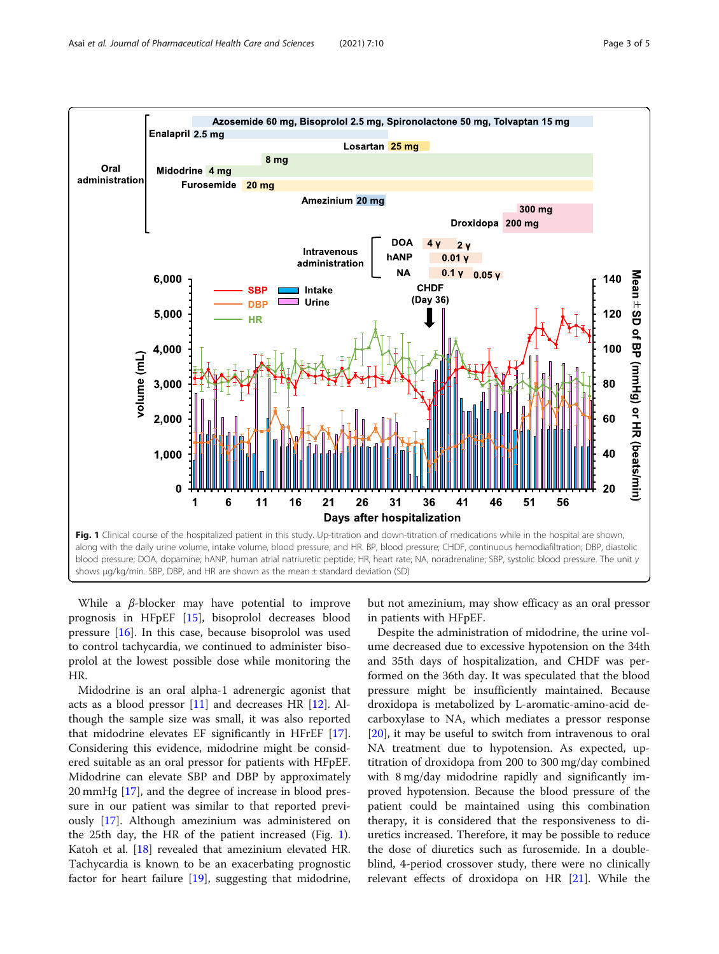<span id="page-2-0"></span>

While a  $\beta$ -blocker may have potential to improve prognosis in HFpEF [\[15](#page-4-0)], bisoprolol decreases blood pressure [\[16](#page-4-0)]. In this case, because bisoprolol was used to control tachycardia, we continued to administer bisoprolol at the lowest possible dose while monitoring the HR.

Midodrine is an oral alpha-1 adrenergic agonist that acts as a blood pressor  $[11]$  and decreases HR  $[12]$  $[12]$  $[12]$ . Although the sample size was small, it was also reported that midodrine elevates EF significantly in HFrEF [\[17](#page-4-0)]. Considering this evidence, midodrine might be considered suitable as an oral pressor for patients with HFpEF. Midodrine can elevate SBP and DBP by approximately 20 mmHg [\[17](#page-4-0)], and the degree of increase in blood pressure in our patient was similar to that reported previously [\[17](#page-4-0)]. Although amezinium was administered on the 25th day, the HR of the patient increased (Fig. 1). Katoh et al. [\[18](#page-4-0)] revealed that amezinium elevated HR. Tachycardia is known to be an exacerbating prognostic factor for heart failure [\[19](#page-4-0)], suggesting that midodrine,

but not amezinium, may show efficacy as an oral pressor in patients with HFpEF.

Despite the administration of midodrine, the urine volume decreased due to excessive hypotension on the 34th and 35th days of hospitalization, and CHDF was performed on the 36th day. It was speculated that the blood pressure might be insufficiently maintained. Because droxidopa is metabolized by L-aromatic-amino-acid decarboxylase to NA, which mediates a pressor response [[20\]](#page-4-0), it may be useful to switch from intravenous to oral NA treatment due to hypotension. As expected, uptitration of droxidopa from 200 to 300 mg/day combined with 8 mg/day midodrine rapidly and significantly improved hypotension. Because the blood pressure of the patient could be maintained using this combination therapy, it is considered that the responsiveness to diuretics increased. Therefore, it may be possible to reduce the dose of diuretics such as furosemide. In a doubleblind, 4-period crossover study, there were no clinically relevant effects of droxidopa on HR [\[21](#page-4-0)]. While the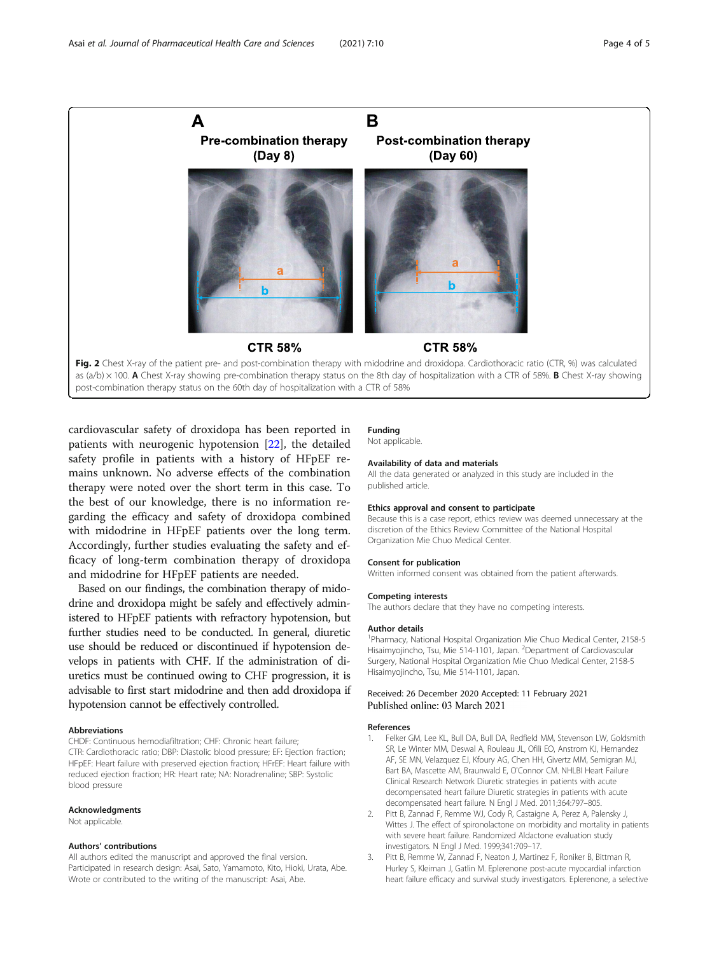<span id="page-3-0"></span>

cardiovascular safety of droxidopa has been reported in patients with neurogenic hypotension [\[22\]](#page-4-0), the detailed safety profile in patients with a history of HFpEF remains unknown. No adverse effects of the combination therapy were noted over the short term in this case. To the best of our knowledge, there is no information regarding the efficacy and safety of droxidopa combined with midodrine in HFpEF patients over the long term. Accordingly, further studies evaluating the safety and efficacy of long-term combination therapy of droxidopa and midodrine for HFpEF patients are needed.

Based on our findings, the combination therapy of midodrine and droxidopa might be safely and effectively administered to HFpEF patients with refractory hypotension, but further studies need to be conducted. In general, diuretic use should be reduced or discontinued if hypotension develops in patients with CHF. If the administration of diuretics must be continued owing to CHF progression, it is advisable to first start midodrine and then add droxidopa if hypotension cannot be effectively controlled.

### Abbreviations

CHDF: Continuous hemodiafiltration; CHF: Chronic heart failure; CTR: Cardiothoracic ratio; DBP: Diastolic blood pressure; EF: Ejection fraction; HFpEF: Heart failure with preserved ejection fraction; HFrEF: Heart failure with reduced ejection fraction; HR: Heart rate; NA: Noradrenaline; SBP: Systolic blood pressure

#### Acknowledgments

Not applicable.

# Authors' contributions

All authors edited the manuscript and approved the final version. Participated in research design: Asai, Sato, Yamamoto, Kito, Hioki, Urata, Abe. Wrote or contributed to the writing of the manuscript: Asai, Abe.

#### Funding Not applicable.

# Availability of data and materials

All the data generated or analyzed in this study are included in the published article.

#### Ethics approval and consent to participate

Because this is a case report, ethics review was deemed unnecessary at the discretion of the Ethics Review Committee of the National Hospital Organization Mie Chuo Medical Center.

#### Consent for publication

Written informed consent was obtained from the patient afterwards.

#### Competing interests The authors declare that they have no competing interests.

## Author details

<sup>1</sup> Pharmacy, National Hospital Organization Mie Chuo Medical Center, 2158-5 Hisaimyojincho, Tsu, Mie 514-1101, Japan. <sup>2</sup>Department of Cardiovascular Surgery, National Hospital Organization Mie Chuo Medical Center, 2158-5 Hisaimyojincho, Tsu, Mie 514-1101, Japan.

# Received: 26 December 2020 Accepted: 11 February 2021 Published online: 03 March 2021

#### References

- 1. Felker GM, Lee KL, Bull DA, Bull DA, Redfield MM, Stevenson LW, Goldsmith SR, Le Winter MM, Deswal A, Rouleau JL, Ofili EO, Anstrom KJ, Hernandez AF, SE MN, Velazquez EJ, Kfoury AG, Chen HH, Givertz MM, Semigran MJ, Bart BA, Mascette AM, Braunwald E, O'Connor CM. NHLBI Heart Failure Clinical Research Network Diuretic strategies in patients with acute decompensated heart failure Diuretic strategies in patients with acute decompensated heart failure. N Engl J Med. 2011;364:797–805.
- 2. Pitt B, Zannad F, Remme WJ, Cody R, Castaigne A, Perez A, Palensky J, Wittes J. The effect of spironolactone on morbidity and mortality in patients with severe heart failure. Randomized Aldactone evaluation study investigators. N Engl J Med. 1999;341:709–17.
- 3. Pitt B, Remme W, Zannad F, Neaton J, Martinez F, Roniker B, Bittman R, Hurley S, Kleiman J, Gatlin M. Eplerenone post-acute myocardial infarction heart failure efficacy and survival study investigators. Eplerenone, a selective